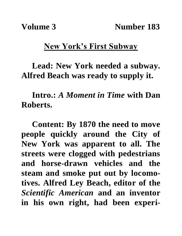## **New York's First Subway**

**Lead: New York needed a subway. Alfred Beach was ready to supply it.** 

**Intro.:** *A Moment in Time* **with Dan Roberts.**

**Content: By 1870 the need to move people quickly around the City of New York was apparent to all. The streets were clogged with pedestrians and horse-drawn vehicles and the steam and smoke put out by locomotives. Alfred Ley Beach, editor of the**  *Scientific American* **and an inventor in his own right, had been experi-**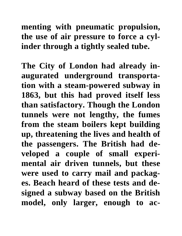## **menting with pneumatic propulsion, the use of air pressure to force a cylinder through a tightly sealed tube.**

**The City of London had already inaugurated underground transportation with a steam-powered subway in 1863, but this had proved itself less than satisfactory. Though the London tunnels were not lengthy, the fumes from the steam boilers kept building up, threatening the lives and health of the passengers. The British had developed a couple of small experimental air driven tunnels, but these were used to carry mail and packages. Beach heard of these tests and designed a subway based on the British model, only larger, enough to ac-**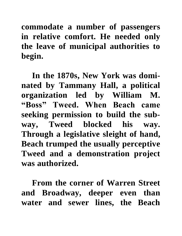**commodate a number of passengers in relative comfort. He needed only the leave of municipal authorities to begin.**

**In the 1870s, New York was dominated by Tammany Hall, a political organization led by William M. "Boss" Tweed. When Beach came seeking permission to build the subway, Tweed blocked his way. Through a legislative sleight of hand, Beach trumped the usually perceptive Tweed and a demonstration project was authorized.**

**From the corner of Warren Street and Broadway, deeper even than water and sewer lines, the Beach**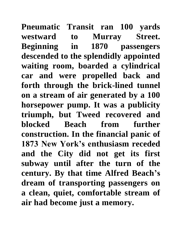**Pneumatic Transit ran 100 yards westward to Murray Street. Beginning in 1870 passengers descended to the splendidly appointed waiting room, boarded a cylindrical car and were propelled back and forth through the brick-lined tunnel on a stream of air generated by a 100 horsepower pump. It was a publicity triumph, but Tweed recovered and blocked Beach from further construction. In the financial panic of 1873 New York's enthusiasm receded and the City did not get its first subway until after the turn of the century. By that time Alfred Beach's dream of transporting passengers on a clean, quiet, comfortable stream of air had become just a memory.**